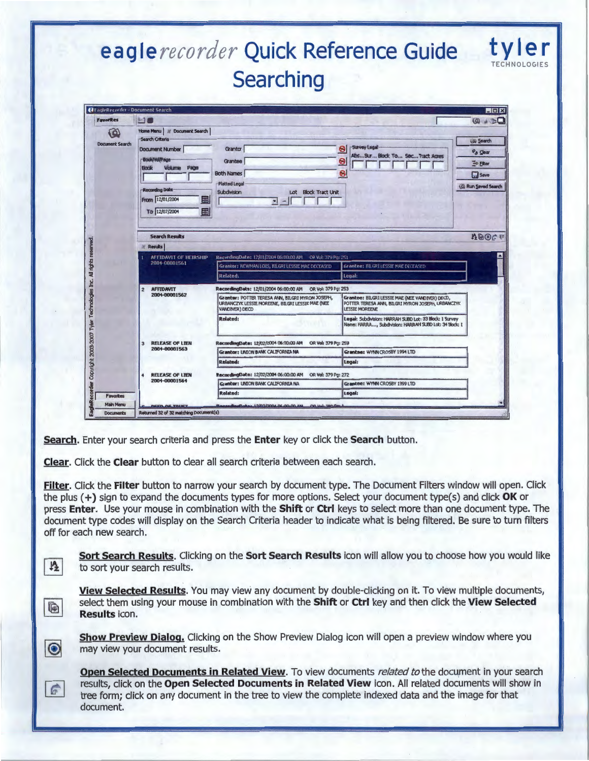# eagle recorder Quick Reference Guide Searching

| <b>Favorites</b>                                                                                      | <b>MO</b>                                                                                 |                                                                                                                        |                                                                                                                               | $\begin{array}{c} \textcircled{4} \rightarrow \textcircled{1} \end{array}$ |
|-------------------------------------------------------------------------------------------------------|-------------------------------------------------------------------------------------------|------------------------------------------------------------------------------------------------------------------------|-------------------------------------------------------------------------------------------------------------------------------|----------------------------------------------------------------------------|
| $\omega$<br><b>Document Search</b><br>rights res<br>₹<br>e.<br>Technolog<br>Copyright 2003-2007 Tyler | Home Menu   al Document Search                                                            |                                                                                                                        |                                                                                                                               |                                                                            |
|                                                                                                       | Search Criteria                                                                           |                                                                                                                        |                                                                                                                               | (a) Search                                                                 |
|                                                                                                       | <b>Document Number</b>                                                                    | Grantor                                                                                                                | -Survey Legal-<br>❸<br>AbsSur Block To Sec Tract Ages                                                                         | P <sub>3</sub> Clear                                                       |
|                                                                                                       | Book/Vol/Page<br>Volume<br><b>Book</b><br>Page                                            | Grantee                                                                                                                | ❸                                                                                                                             | <sup>2</sup> Filter                                                        |
|                                                                                                       |                                                                                           | <b>Both Names</b>                                                                                                      | 0                                                                                                                             | <b>Save</b>                                                                |
|                                                                                                       |                                                                                           | <b>Platted Legal</b>                                                                                                   |                                                                                                                               | (@ Run Saved Search                                                        |
|                                                                                                       | Recording Date                                                                            | <b>Subdivision</b><br>Lot Block Tract Unit                                                                             |                                                                                                                               |                                                                            |
|                                                                                                       | From 12/01/2004<br>圖                                                                      | $-1$                                                                                                                   |                                                                                                                               |                                                                            |
|                                                                                                       | 畐<br>To 12/07/2004                                                                        |                                                                                                                        |                                                                                                                               |                                                                            |
|                                                                                                       |                                                                                           |                                                                                                                        |                                                                                                                               |                                                                            |
|                                                                                                       | <b>ABOGE</b><br><b>Search Results</b>                                                     |                                                                                                                        |                                                                                                                               |                                                                            |
|                                                                                                       | <b>Results</b>                                                                            |                                                                                                                        |                                                                                                                               |                                                                            |
|                                                                                                       | RecordingDate: 12/01/2004 06:00:00 AM OR Vol: 379 Pg: 251<br><b>AFFIDAVIT OF HEIRSHIP</b> |                                                                                                                        |                                                                                                                               |                                                                            |
|                                                                                                       | 2004-00001561                                                                             | Grantor: NEWMAN LOIS, BILGRI LESSIE MAE DECEASED                                                                       | Grantee: BILGRI LESSIE MAE DECEASED                                                                                           |                                                                            |
|                                                                                                       |                                                                                           | Related:                                                                                                               | Legal:                                                                                                                        |                                                                            |
|                                                                                                       | <b>AFFIDAVIT</b><br>$\overline{2}$<br>2004-00001562                                       |                                                                                                                        |                                                                                                                               |                                                                            |
|                                                                                                       |                                                                                           | Granter: POTTER TERESA ANN, BILGRI MYRON JOSEPH,<br>URBANCZYK LESSIE MOREENE, BILGRI LESSIE MAE (NEE<br>VANDIVER) DECD | Grantee: BILGRI LESSIE MAE (NEE VANDIVER) DECD,<br>POTTER TERESA ANN, BILGRI MYRON JOSEPH, URBANCZYK<br><b>LESSIE MOREENE</b> |                                                                            |
|                                                                                                       |                                                                                           | Rolated:                                                                                                               | Legal: Subdivision: HARRAH SUBD Lot: 33 Block: 1 Survey<br>Name: HARRA, Subdivision: HARRAH SUBD Lot: 34 Block: 1             |                                                                            |
|                                                                                                       |                                                                                           |                                                                                                                        |                                                                                                                               |                                                                            |
|                                                                                                       | <b>RELEASE OF LIEN</b><br>$\overline{\mathbf{3}}$                                         | RecordingDate: 12/02/2004 06:00:00 AM<br>OR Vol: 379 Pg: 259                                                           |                                                                                                                               |                                                                            |
|                                                                                                       | 2004-00001563                                                                             | Granbor: UNION BANK CALIFORNIA NA                                                                                      | Grantee: WYNN CROSBY 1994 LTD                                                                                                 |                                                                            |
|                                                                                                       |                                                                                           | <b>Related:</b>                                                                                                        | Legal:                                                                                                                        |                                                                            |
|                                                                                                       | <b>RELEASE OF LTEN</b><br>$\blacktriangleleft$                                            | RecordingDate: 12/02/2004 06:00:00 AM<br>OR Vol: 379 Pg: 272                                                           |                                                                                                                               |                                                                            |
|                                                                                                       | 2004-00001564                                                                             | Granter: UNION BANK CALIFORNIA NA                                                                                      | Grantee: WYNN CROSBY 1999 LTD                                                                                                 |                                                                            |
| <b>Favorites</b>                                                                                      |                                                                                           | <b>Related:</b>                                                                                                        | Logal:                                                                                                                        |                                                                            |

Search. Enter your search criteria and press the Enter key or click the Search button.

Clear. Click the Clear button to clear all search criteria between each search.

 $\frac{14}{2}$ 

 $\blacksquare$ 

 $\bullet$ 

 $\vec{F}$ 

Filter. Click the Filter button to narrow your search by document type. The Document Filters window will open. Click the plus (+) sign to expand the documents types for more options. Select your document type(s) and click OK or press Enter. Use your mouse in combination with the Shift or Ctrl keys to select more than one document type. The document type codes will display on the Search Criteria header to indicate what is being filtered. Be sure to turn filters off for each new search.

Sort Search Results. Clicking on the Sort Search Results icon will allow you to choose how you would like to sort your search results.

View Selected Results. You may view any document by double-clicking on it. To view multiple documents, select them using your mouse in combination with the Shift or Ctrl key and then click the View Selected Results icon.

Show Preview Dialog. Clicking on the Show Preview Dialog icon will open a preview window where you may view your document results.

Open Selected Documents in Related View. To view documents related to the document in your search results, click on the Open Selected Documents in Related View icon. All related documents will show in tree form: click on any document in the tree to view the complete indexed data and the image for that document.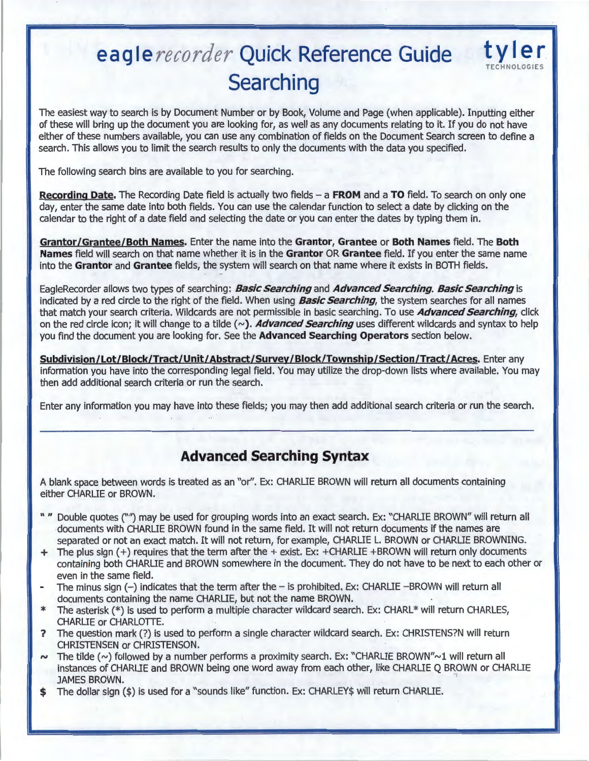# **eagle** *recorder* **Quick Reference Guide Searching**



The easiest way to search is by Document Number or by Book, Volume and Page (when applicable). Inputting either of these will bring up the document you are looking for, as well as any documents relating to it. If you do not have either of these numbers available, you can use any combination of fields on the Document Search screen to define a search. This allows you to limit the search results to only the documents with the data you specified.

The following search bins are available to you for searching.

**Recording Date.** The Recording Date field is actually two fields- a **FROM** and a **TO** field. To search on only one day, enter the same date into both fields. You can use the calendar function to select a date by clicking on the calendar to the right of a date field and selecting the date or you can enter the dates by typing them in.

**Grantor/Grantee/Both Names.** Enter the name into the **Grantor, Grantee or Both Names** field. The **Both Names** field will search on that name whether it is in the **Grantor OR Grantee** field. If you enter the same name into the **Grantor** and **Grantee** fields, the system will search on that name where it exists in BOTH fields.

EagleRecorder allows two types of searching: **Basic Searching** and **Advanced Searching. Basic Searching** is indicated by a red circle to the right of the field. When using **Basic Searching,** the system searches for all names that match your search criteria. Wildcards are not permissible in basic searching. To use **Advanced Searching,** click on the red circle icon; it will change to a tilde  $(\sim)$ . Advanced Searching uses different wildcards and syntax to help you find the document you are looking for. See the **Advanced Searching Operators** section below.

**Subdivision/Lot/Block/Tract/Unit/Abstract/Survey/Block/Township/Section/Tract/Acres.** Enter any information you have into the corresponding legal field. You may utilize the drop-down lists where available. You may then add additional search criteria or run the search.

Enter any information you may have into these fields; you may then add additional search criteria or run the search.

## **Advanced Searching Syntax**

A blank space between words is treated as an "or". Ex: CHARLIE BROWN will return all documents containing either CHARLIE or BROWN.

- " " Double quotes ("") may be used for grouping words into an exact search. Ex: "CHARLIE BROWN" will return all documents with CHARLIE BROWN found in the same field. It will not return documents if the names are separated or not an exact match. It will not return, for example, CHARLIE L. BROWN or CHARLIE BROWNING.
- + The plus sign ( +) requires that the term after the + exist. Ex: +CHARLIE +BROWN will return only documents containing both CHARLIE and BROWN somewhere in the document. They do not have to be next to each other or even in the same field.
- The minus sign  $(-)$  indicates that the term after the  $-$  is prohibited. Ex: CHARLIE  $-BROWN$  will return all documents containing the name CHARLIE, but not the name BROWN.
- \* The asterisk (\*) is used to perform a multiple character wildcard search. Ex: CHARL\* will return CHARLES, CHARLIE or CHARLOTTE.
- ? The question mark(?) is used to perform a single character wildcard search. Ex: CHRISTENS?N will return CHRISTENSEN or CHRISTENSON.
- <sup>*tv*</sup> The tilde (~) followed by a number performs a proximity search. Ex: "CHARLIE BROWN"~1 will return all instances of CHARLIE and BROWN being one word away from each other, like CHARLIE Q BROWN or CHARLIE JAMES BROWN.
- \$ The dollar sign (\$) is used for a "sounds like" function. Ex: CHARLEY\$ will return CHARLIE.